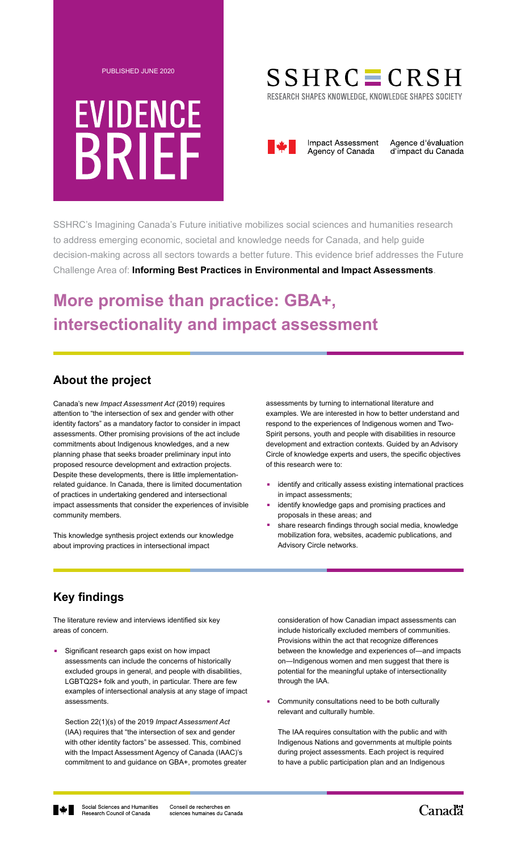

# **EVIDENCE BRIEF**

# $SSHRC = CRSH$

RESEARCH SHAPES KNOWLEDGE, KNOWLEDGE SHAPES SOCIETY



Agence d'évaluation d'impact du Canada

SSHRC's Imagining Canada's Future initiative mobilizes social sciences and humanities research to address emerging economic, societal and knowledge needs for Canada, and help guide decision-making across all sectors towards a better future. This evidence brief addresses the Future Challenge Area of: **Informing Best Practices in Environmental and Impact Assessments**.

# **More promise than practice: GBA+, intersectionality and impact assessment**

### **About the project**

Canada's new *Impact Assessment Act* (2019) requires attention to "the intersection of sex and gender with other identity factors" as a mandatory factor to consider in impact assessments. Other promising provisions of the act include commitments about Indigenous knowledges, and a new planning phase that seeks broader preliminary input into proposed resource development and extraction projects. Despite these developments, there is little implementationrelated guidance. In Canada, there is limited documentation of practices in undertaking gendered and intersectional impact assessments that consider the experiences of invisible community members.

This knowledge synthesis project extends our knowledge about improving practices in intersectional impact

assessments by turning to international literature and examples. We are interested in how to better understand and respond to the experiences of Indigenous women and Two-Spirit persons, youth and people with disabilities in resource development and extraction contexts. Guided by an Advisory Circle of knowledge experts and users, the specific objectives of this research were to:

- **.** identify and critically assess existing international practices in impact assessments;
- **.** identify knowledge gaps and promising practices and proposals in these areas; and
- **.** share research findings through social media, knowledge mobilization fora, websites, academic publications, and Advisory Circle networks.

## **Key findings**

The literature review and interviews identified six key areas of concern.

**.** Significant research gaps exist on how impact assessments can include the concerns of historically excluded groups in general, and people with disabilities, LGBTQ2S+ folk and youth, in particular. There are few examples of intersectional analysis at any stage of impact assessments.

 Section 22(1)(s) of the 2019 *Impact Assessment Act* (IAA) requires that "the intersection of sex and gender with other identity factors" be assessed. This, combined with the Impact Assessment Agency of Canada (IAAC)'s commitment to and guidance on GBA+, promotes greater consideration of how Canadian impact assessments can include historically excluded members of communities. Provisions within the act that recognize differences between the knowledge and experiences of―and impacts on―Indigenous women and men suggest that there is potential for the meaningful uptake of intersectionality through the IAA.

**.** Community consultations need to be both culturally relevant and culturally humble.

 The IAA requires consultation with the public and with Indigenous Nations and governments at multiple points during project assessments. Each project is required to have a public participation plan and an Indigenous



Canad<sup>"</sup>